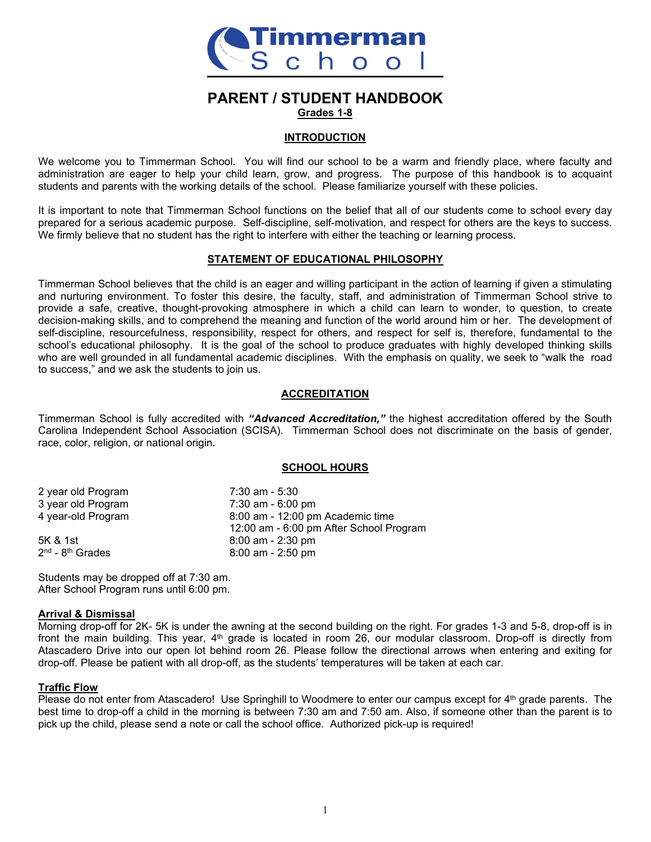

# **PARENT / STUDENT HANDBOOK Grades 1-8**

### **INTRODUCTION**

We welcome you to Timmerman School. You will find our school to be a warm and friendly place, where faculty and administration are eager to help your child learn, grow, and progress. The purpose of this handbook is to acquaint students and parents with the working details of the school. Please familiarize yourself with these policies.

It is important to note that Timmerman School functions on the belief that all of our students come to school every day prepared for a serious academic purpose. Self-discipline, self-motivation, and respect for others are the keys to success. We firmly believe that no student has the right to interfere with either the teaching or learning process.

# **STATEMENT OF EDUCATIONAL PHILOSOPHY**

Timmerman School believes that the child is an eager and willing participant in the action of learning if given a stimulating and nurturing environment. To foster this desire, the faculty, staff, and administration of Timmerman School strive to provide a safe, creative, thought-provoking atmosphere in which a child can learn to wonder, to question, to create decision-making skills, and to comprehend the meaning and function of the world around him or her. The development of self-discipline, resourcefulness, responsibility, respect for others, and respect for self is, therefore, fundamental to the school's educational philosophy. It is the goal of the school to produce graduates with highly developed thinking skills who are well grounded in all fundamental academic disciplines. With the emphasis on quality, we seek to "walk the road to success," and we ask the students to join us.

# **ACCREDITATION**

Timmerman School is fully accredited with *"Advanced Accreditation,"* the highest accreditation offered by the South Carolina Independent School Association (SCISA). Timmerman School does not discriminate on the basis of gender, race, color, religion, or national origin.

#### **SCHOOL HOURS**

| 7:30 am - 5:30                          |
|-----------------------------------------|
| 7:30 am - 6:00 pm                       |
| 8:00 am - 12:00 pm Academic time        |
| 12:00 am - 6:00 pm After School Program |
| $8:00$ am - 2:30 pm                     |
| $8:00$ am - 2:50 pm                     |
|                                         |

Students may be dropped off at 7:30 am. After School Program runs until 6:00 pm.

#### **Arrival & Dismissal**

Morning drop-off for 2K- 5K is under the awning at the second building on the right. For grades 1-3 and 5-8, drop-off is in front the main building. This year, 4<sup>th</sup> grade is located in room 26, our modular classroom. Drop-off is directly from Atascadero Drive into our open lot behind room 26. Please follow the directional arrows when entering and exiting for drop-off. Please be patient with all drop-off, as the students' temperatures will be taken at each car.

#### **Traffic Flow**

Please do not enter from Atascadero! Use Springhill to Woodmere to enter our campus except for 4<sup>th</sup> grade parents. The best time to drop-off a child in the morning is between 7:30 am and 7:50 am. Also, if someone other than the parent is to pick up the child, please send a note or call the school office. Authorized pick-up is required!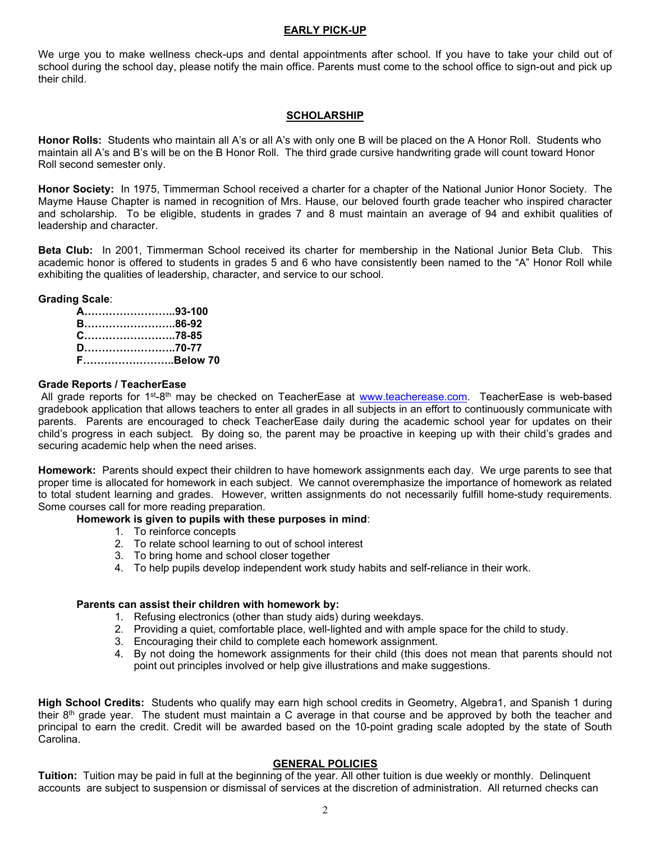### **EARLY PICK-UP**

We urge you to make wellness check-ups and dental appointments after school. If you have to take your child out of school during the school day, please notify the main office. Parents must come to the school office to sign-out and pick up their child.

### **SCHOLARSHIP**

**Honor Rolls:** Students who maintain all A's or all A's with only one B will be placed on the A Honor Roll. Students who maintain all A's and B's will be on the B Honor Roll. The third grade cursive handwriting grade will count toward Honor Roll second semester only.

**Honor Society:** In 1975, Timmerman School received a charter for a chapter of the National Junior Honor Society. The Mayme Hause Chapter is named in recognition of Mrs. Hause, our beloved fourth grade teacher who inspired character and scholarship. To be eligible, students in grades 7 and 8 must maintain an average of 94 and exhibit qualities of leadership and character.

**Beta Club:** In 2001, Timmerman School received its charter for membership in the National Junior Beta Club. This academic honor is offered to students in grades 5 and 6 who have consistently been named to the "A" Honor Roll while exhibiting the qualities of leadership, character, and service to our school.

### **Grading Scale**:

| A………………………93-100 |  |
|------------------|--|
| B86-92           |  |
| C78-85           |  |
| D70-77           |  |
| FBelow 70        |  |

#### **Grade Reports / TeacherEase**

All grade reports for 1<sup>st</sup>-8<sup>th</sup> may be checked on TeacherEase at [www.teacherease.com.](http://www.teacherease.com/) TeacherEase is web-based gradebook application that allows teachers to enter all grades in all subjects in an effort to continuously communicate with parents. Parents are encouraged to check TeacherEase daily during the academic school year for updates on their child's progress in each subject. By doing so, the parent may be proactive in keeping up with their child's grades and securing academic help when the need arises.

**Homework:** Parents should expect their children to have homework assignments each day. We urge parents to see that proper time is allocated for homework in each subject. We cannot overemphasize the importance of homework as related to total student learning and grades. However, written assignments do not necessarily fulfill home-study requirements. Some courses call for more reading preparation.

#### **Homework is given to pupils with these purposes in mind**:

- 1. To reinforce concepts
- 2. To relate school learning to out of school interest
- 3. To bring home and school closer together
- 4. To help pupils develop independent work study habits and self-reliance in their work.

### **Parents can assist their children with homework by:**

- 1. Refusing electronics (other than study aids) during weekdays.
- 2. Providing a quiet, comfortable place, well-lighted and with ample space for the child to study.
- 3. Encouraging their child to complete each homework assignment.
- 4. By not doing the homework assignments for their child (this does not mean that parents should not point out principles involved or help give illustrations and make suggestions.

**High School Credits:** Students who qualify may earn high school credits in Geometry, Algebra1, and Spanish 1 during their 8th grade year. The student must maintain a C average in that course and be approved by both the teacher and principal to earn the credit. Credit will be awarded based on the 10-point grading scale adopted by the state of South Carolina.

#### **GENERAL POLICIES**

**Tuition:** Tuition may be paid in full at the beginning of the year. All other tuition is due weekly or monthly. Delinquent accounts are subject to suspension or dismissal of services at the discretion of administration. All returned checks can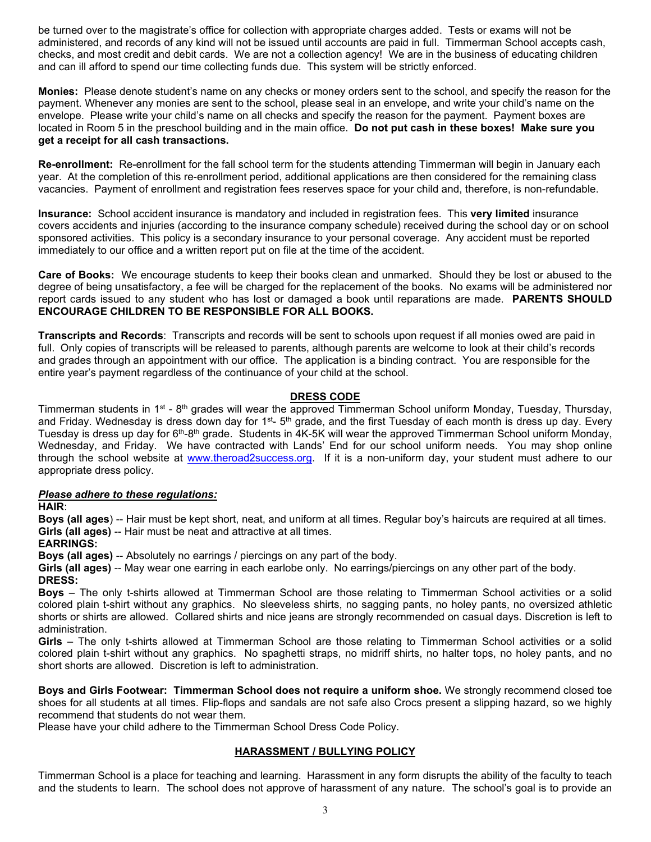be turned over to the magistrate's office for collection with appropriate charges added. Tests or exams will not be administered, and records of any kind will not be issued until accounts are paid in full. Timmerman School accepts cash, checks, and most credit and debit cards. We are not a collection agency! We are in the business of educating children and can ill afford to spend our time collecting funds due. This system will be strictly enforced.

**Monies:** Please denote student's name on any checks or money orders sent to the school, and specify the reason for the payment. Whenever any monies are sent to the school, please seal in an envelope, and write your child's name on the envelope. Please write your child's name on all checks and specify the reason for the payment. Payment boxes are located in Room 5 in the preschool building and in the main office. **Do not put cash in these boxes! Make sure you get a receipt for all cash transactions.** 

**Re-enrollment:** Re-enrollment for the fall school term for the students attending Timmerman will begin in January each year. At the completion of this re-enrollment period, additional applications are then considered for the remaining class vacancies. Payment of enrollment and registration fees reserves space for your child and, therefore, is non-refundable.

**Insurance:** School accident insurance is mandatory and included in registration fees. This **very limited** insurance covers accidents and injuries (according to the insurance company schedule) received during the school day or on school sponsored activities. This policy is a secondary insurance to your personal coverage. Any accident must be reported immediately to our office and a written report put on file at the time of the accident.

**Care of Books:** We encourage students to keep their books clean and unmarked. Should they be lost or abused to the degree of being unsatisfactory, a fee will be charged for the replacement of the books. No exams will be administered nor report cards issued to any student who has lost or damaged a book until reparations are made. **PARENTS SHOULD ENCOURAGE CHILDREN TO BE RESPONSIBLE FOR ALL BOOKS.**

**Transcripts and Records**: Transcripts and records will be sent to schools upon request if all monies owed are paid in full. Only copies of transcripts will be released to parents, although parents are welcome to look at their child's records and grades through an appointment with our office. The application is a binding contract. You are responsible for the entire year's payment regardless of the continuance of your child at the school.

# **DRESS CODE**

Timmerman students in 1<sup>st</sup> - 8<sup>th</sup> grades will wear the approved Timmerman School uniform Monday, Tuesday, Thursday, and Friday. Wednesday is dress down day for  $1^{st}$ - 5<sup>th</sup> grade, and the first Tuesday of each month is dress up day. Every Tuesday is dress up day for  $6<sup>th</sup>-8<sup>th</sup>$  grade. Students in 4K-5K will wear the approved Timmerman School uniform Monday, Wednesday, and Friday. We have contracted with Lands' End for our school uniform needs. You may shop online through the school website at [www.theroad2success.org.](http://www.theroad2success.org/) If it is a non-uniform day, your student must adhere to our appropriate dress policy.

# *Please adhere to these regulations:*

**HAIR**:

**Boys (all ages**) -- Hair must be kept short, neat, and uniform at all times. Regular boy's haircuts are required at all times. **Girls (all ages)** -- Hair must be neat and attractive at all times.

#### **EARRINGS:**

**Boys (all ages)** -- Absolutely no earrings / piercings on any part of the body.

**Girls (all ages)** -- May wear one earring in each earlobe only. No earrings/piercings on any other part of the body. **DRESS:**

**Boys** – The only t-shirts allowed at Timmerman School are those relating to Timmerman School activities or a solid colored plain t-shirt without any graphics. No sleeveless shirts, no sagging pants, no holey pants, no oversized athletic shorts or shirts are allowed. Collared shirts and nice jeans are strongly recommended on casual days. Discretion is left to administration.

**Girls** – The only t-shirts allowed at Timmerman School are those relating to Timmerman School activities or a solid colored plain t-shirt without any graphics. No spaghetti straps, no midriff shirts, no halter tops, no holey pants, and no short shorts are allowed. Discretion is left to administration.

**Boys and Girls Footwear: Timmerman School does not require a uniform shoe.** We strongly recommend closed toe shoes for all students at all times. Flip-flops and sandals are not safe also Crocs present a slipping hazard, so we highly recommend that students do not wear them.

Please have your child adhere to the Timmerman School Dress Code Policy.

# **HARASSMENT / BULLYING POLICY**

Timmerman School is a place for teaching and learning. Harassment in any form disrupts the ability of the faculty to teach and the students to learn. The school does not approve of harassment of any nature. The school's goal is to provide an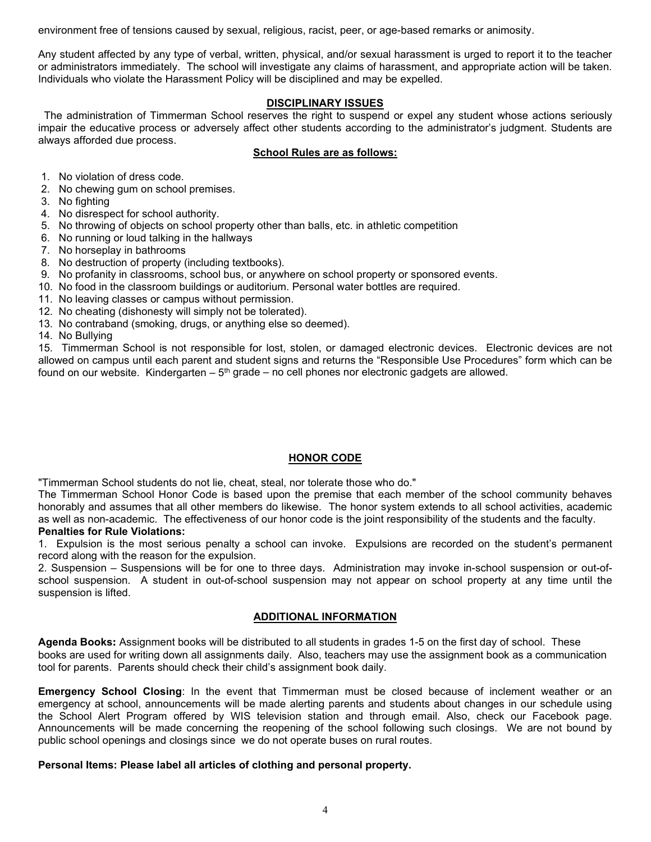environment free of tensions caused by sexual, religious, racist, peer, or age-based remarks or animosity.

Any student affected by any type of verbal, written, physical, and/or sexual harassment is urged to report it to the teacher or administrators immediately. The school will investigate any claims of harassment, and appropriate action will be taken. Individuals who violate the Harassment Policy will be disciplined and may be expelled.

### **DISCIPLINARY ISSUES**

 The administration of Timmerman School reserves the right to suspend or expel any student whose actions seriously impair the educative process or adversely affect other students according to the administrator's judgment. Students are always afforded due process.

### **School Rules are as follows:**

- 1. No violation of dress code.
- 2. No chewing gum on school premises.
- 3. No fighting
- 4. No disrespect for school authority.
- 5. No throwing of objects on school property other than balls, etc. in athletic competition
- 6. No running or loud talking in the hallways
- 7. No horseplay in bathrooms
- 8. No destruction of property (including textbooks).
- 9. No profanity in classrooms, school bus, or anywhere on school property or sponsored events.
- 10. No food in the classroom buildings or auditorium. Personal water bottles are required.
- 11. No leaving classes or campus without permission.
- 12. No cheating (dishonesty will simply not be tolerated).
- 13. No contraband (smoking, drugs, or anything else so deemed).

14. No Bullying

15. Timmerman School is not responsible for lost, stolen, or damaged electronic devices. Electronic devices are not allowed on campus until each parent and student signs and returns the "Responsible Use Procedures" form which can be found on our website. Kindergarten  $-5<sup>th</sup>$  grade – no cell phones nor electronic gadgets are allowed.

# **HONOR CODE**

"Timmerman School students do not lie, cheat, steal, nor tolerate those who do."

The Timmerman School Honor Code is based upon the premise that each member of the school community behaves honorably and assumes that all other members do likewise. The honor system extends to all school activities, academic as well as non-academic. The effectiveness of our honor code is the joint responsibility of the students and the faculty.

#### **Penalties for Rule Violations:**

1. Expulsion is the most serious penalty a school can invoke. Expulsions are recorded on the student's permanent record along with the reason for the expulsion.

2. Suspension – Suspensions will be for one to three days. Administration may invoke in-school suspension or out-ofschool suspension. A student in out-of-school suspension may not appear on school property at any time until the suspension is lifted.

# **ADDITIONAL INFORMATION**

**Agenda Books:** Assignment books will be distributed to all students in grades 1-5 on the first day of school. These books are used for writing down all assignments daily. Also, teachers may use the assignment book as a communication tool for parents. Parents should check their child's assignment book daily.

**Emergency School Closing**: In the event that Timmerman must be closed because of inclement weather or an emergency at school, announcements will be made alerting parents and students about changes in our schedule using the School Alert Program offered by WIS television station and through email. Also, check our Facebook page. Announcements will be made concerning the reopening of the school following such closings. We are not bound by public school openings and closings since we do not operate buses on rural routes.

#### **Personal Items: Please label all articles of clothing and personal property.**